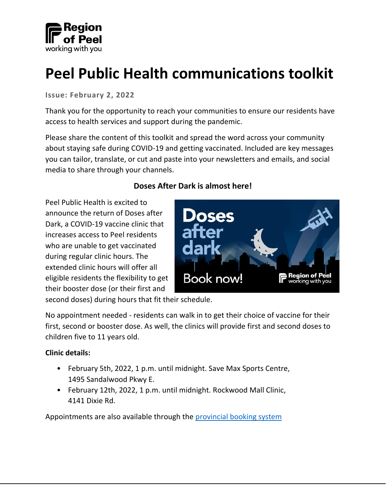

# **Peel Public Health communications toolkit**

**Issue: February 2, 2022**

Thank you for the opportunity to reach your communities to ensure our residents have access to health services and support during the pandemic.

Please share the content of this toolkit and spread the word across your community about staying safe during COVID-19 and getting vaccinated. Included are key messages you can tailor, translate, or cut and paste into your newsletters and emails, and social media to share through your channels.

#### **Doses After Dark is almost here!**

Peel Public Health is excited to announce the return of Doses after Dark, a COVID-19 vaccine clinic that increases access to Peel residents who are unable to get vaccinated during regular clinic hours. The extended clinic hours will offer all eligible residents the flexibility to get their booster dose (or their first and



second doses) during hours that fit their schedule.

No appointment needed - residents can walk in to get their choice of vaccine for their first, second or booster dose. As well, the clinics will provide first and second doses to children five to 11 years old.

#### **Clinic details:**

- February 5th, 2022, 1 p.m. until midnight. Save Max Sports Centre, 1495 Sandalwood Pkwy E.
- February 12th, 2022, 1 p.m. until midnight. Rockwood Mall Clinic, 4141 Dixie Rd.

Appointments are also available through the [provincial booking system](https://covid-19.ontario.ca/getting-covid-19-vaccine)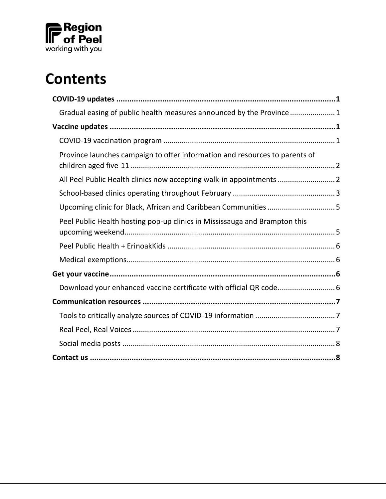

# **Contents**

| Gradual easing of public health measures announced by the Province1         |  |
|-----------------------------------------------------------------------------|--|
|                                                                             |  |
|                                                                             |  |
| Province launches campaign to offer information and resources to parents of |  |
| All Peel Public Health clinics now accepting walk-in appointments  2        |  |
|                                                                             |  |
| Upcoming clinic for Black, African and Caribbean Communities 5              |  |
| Peel Public Health hosting pop-up clinics in Mississauga and Brampton this  |  |
|                                                                             |  |
|                                                                             |  |
|                                                                             |  |
| Download your enhanced vaccine certificate with official QR code 6          |  |
|                                                                             |  |
|                                                                             |  |
|                                                                             |  |
|                                                                             |  |
|                                                                             |  |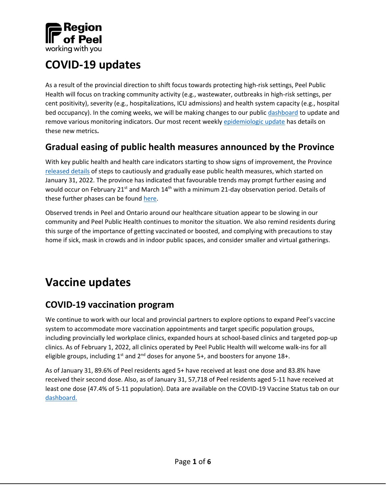

# <span id="page-2-0"></span>**COVID-19 updates**

As a result of the provincial direction to shift focus towards protecting high-risk settings, Peel Public Health will focus on tracking community activity (e.g., wastewater, outbreaks in high-risk settings, per cent positivity), severity (e.g., hospitalizations, ICU admissions) and health system capacity (e.g., hospital bed occupancy). In the coming weeks, we will be making changes to our public [dashboard](https://www.peelregion.ca/coronavirus/case-status/) to update and remove various monitoring indicators. Our most recent weekly [epidemiologic update](https://www.peelregion.ca/coronavirus/_media/epi-update-2022-01-21.pdf) has details on these new metrics**.**

### <span id="page-2-1"></span>**Gradual easing of public health measures announced by the Province**

With key public health and health care indicators starting to show signs of improvement, the Province [released details](https://news.ontario.ca/en/release/1001451/ontario-outlines-steps-to-cautiously-and-gradually-ease-public-health-measures) of steps to cautiously and gradually ease public health measures, which started on January 31, 2022. The province has indicated that favourable trends may prompt further easing and would occur on February 21<sup>st</sup> and March  $14<sup>th</sup>$  with a minimum 21-day observation period. Details of these further phases can be foun[d here.](https://news.ontario.ca/en/release/1001451/ontario-outlines-steps-to-cautiously-and-gradually-ease-public-health-measures)

Observed trends in Peel and Ontario around our healthcare situation appear to be slowing in our community and Peel Public Health continues to monitor the situation. We also remind residents during this surge of the importance of getting vaccinated or boosted, and complying with precautions to stay home if sick, mask in crowds and in indoor public spaces, and consider smaller and virtual gatherings.

# <span id="page-2-2"></span>**Vaccine updates**

### <span id="page-2-3"></span>**COVID-19 vaccination program**

We continue to work with our local and provincial partners to explore options to expand Peel's vaccine system to accommodate more vaccination appointments and target specific population groups, including provincially led workplace clinics, expanded hours at school-based clinics and targeted pop-up clinics. As of February 1, 2022, all clinics operated by Peel Public Health will welcome walk-ins for all eligible groups, including  $1^{st}$  and  $2^{nd}$  doses for anyone 5+, and boosters for anyone 18+.

As of January 31, 89.6% of Peel residents aged 5+ have received at least one dose and 83.8% have received their second dose. Also, as of January 31, 57,718 of Peel residents aged 5-11 have received at least one dose (47.4% of 5-11 population). Data are available on the COVID-19 Vaccine Status tab on our [dashboard.](https://www.peelregion.ca/coronavirus/case-status/)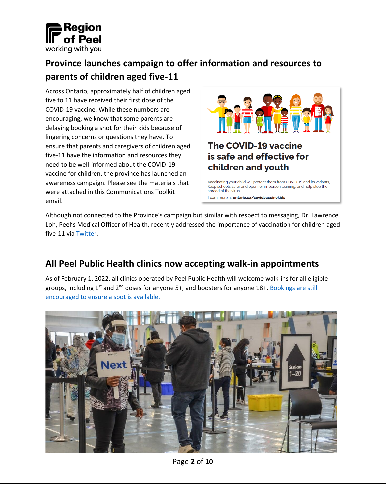

### <span id="page-3-0"></span>**Province launches campaign to offer information and resources to parents of children aged five-11**

Across Ontario, approximately half of children aged five to 11 have received their first dose of the COVID-19 vaccine. While these numbers are encouraging, we know that some parents are delaying booking a shot for their kids because of lingering concerns or questions they have. To ensure that parents and caregivers of children aged five-11 have the information and resources they need to be well-informed about the COVID-19 vaccine for children, the province has launched an awareness campaign. Please see the materials that were attached in this Communications Toolkit email.



Learn more at ontario.ca/covidvaccinekids

Although not connected to the Province's campaign but similar with respect to messaging, Dr. Lawrence Loh, Peel's Medical Officer of Health, recently addressed the importance of vaccination for children aged five-11 vi[a Twitter.](https://twitter.com/regionofpeel/status/1488649865118859269)

### <span id="page-3-1"></span>**All Peel Public Health clinics now accepting walk-in appointments**

As of February 1, 2022, all clinics operated by Peel Public Health will welcome walk-ins for all eligible groups, including 1<sup>st</sup> and 2<sup>nd</sup> doses for anyone 5+, and boosters for anyone 18+. [Bookings](https://www.peelregion.ca/coronavirus/vaccine/book-appointment/) are still [encouraged to ensure a spot is available.](https://www.peelregion.ca/coronavirus/vaccine/book-appointment/)

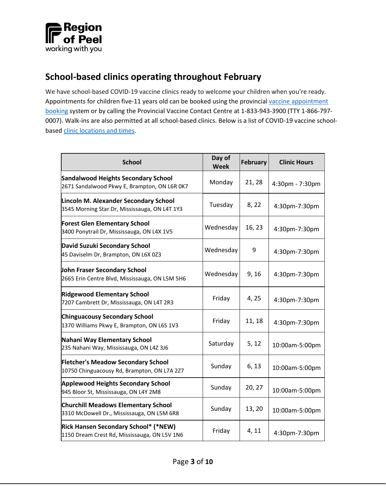

### <span id="page-4-0"></span>**School-based clinics operating throughout February**

We have school-based COVID-19 vaccine clinics ready to welcome your children when you're ready. Appointments for children five-11 years old can be booked using the provincial vaccine appointment [booking](https://covid-19.ontario.ca/book-vaccine/) system or by calling the Provincial Vaccine Contact Centre at 1-833-943-3900 (TTY 1-866-797- 0007). Walk-ins are also permitted at all school-based clinics. Below is a list of COVID-19 vaccine schoolbased [clinic locations](https://peelregion.ca/coronavirus/vaccine/book-appointment/#schools) and times.

| <b>School</b>                                                                                 | Day of<br><b>Week</b> | February | <b>Clinic Hours</b> |
|-----------------------------------------------------------------------------------------------|-----------------------|----------|---------------------|
| <b>Sandalwood Heights Secondary School</b><br>2671 Sandalwood Pkwy E, Brampton, ON L6R 0K7    | Monday                | 21, 28   | 4:30pm - 7:30pm     |
| <b>Lincoln M. Alexander Secondary School</b><br>3545 Morning Star Dr, Mississauga, ON L4T 1Y3 | Tuesday               | 8, 22    | 4:30pm-7:30pm       |
| <b>Forest Glen Elementary School</b><br>3400 Ponytrail Dr, Mississauga, ON L4X 1V5            | Wednesday             | 16, 23   | 4:30pm-7:30pm       |
| David Suzuki Secondary School<br>45 Daviselm Dr, Brampton, ON L6X 0Z3                         | Wednesday             | 9        | 4:30pm-7:30pm       |
| John Fraser Secondary School<br>2665 Erin Centre Blvd, Mississauga, ON L5M 5H6                | Wednesday             | 9, 16    | 4:30pm-7:30pm       |
| <b>Ridgewood Elementary School</b><br>7207 Cambrett Dr, Mississauga, ON L4T 2R3               | Friday                | 4, 25    | 4:30pm-7:30pm       |
| <b>Chinguacousy Secondary School</b><br>1370 Williams Pkwy E, Brampton, ON L6S 1V3            | Friday                | 11, 18   | 4:30pm-7:30pm       |
| Nahani Way Elementary School<br>235 Nahani Way, Mississauga, ON L4Z 3J6                       | Saturday              | 5, 12    | 10:00am-5:00pm      |
| <b>Fletcher's Meadow Secondary School</b><br>10750 Chinguacousy Rd, Brampton, ON L7A 2Z7      | Sunday                | 6, 13    | 10:00am-5:00pm      |
| <b>Applewood Heights Secondary School</b><br>945 Bloor St, Mississauga, ON L4Y 2M8            | Sunday                | 20, 27   | 10:00am-5:00pm      |
| <b>Churchill Meadows Elementary School</b><br>3310 McDowell Dr., Mississauga, ON L5M 6R8      | Sunday                | 13, 20   | 10:00am-5:00pm      |
| <b>Rick Hansen Secondary School* (*NEW)</b><br>1150 Dream Crest Rd, Mississauga, ON L5V 1N6   | Friday                | 4, 11    | 4:30pm-7:30pm       |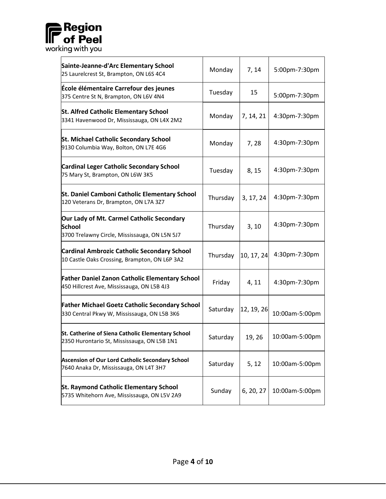

| Sainte-Jeanne-d'Arc Elementary School<br>25 Laurelcrest St, Brampton, ON L6S 4C4                            | Monday   | 7, 14      | 5:00pm-7:30pm  |
|-------------------------------------------------------------------------------------------------------------|----------|------------|----------------|
| École élémentaire Carrefour des jeunes<br>375 Centre St N, Brampton, ON L6V 4N4                             | Tuesday  | 15         | 5:00pm-7:30pm  |
| <b>St. Alfred Catholic Elementary School</b><br>3341 Havenwood Dr, Mississauga, ON L4X 2M2                  | Monday   | 7, 14, 21  | 4:30pm-7:30pm  |
| <b>St. Michael Catholic Secondary School</b><br>9130 Columbia Way, Bolton, ON L7E 4G6                       | Monday   | 7,28       | 4:30pm-7:30pm  |
| <b>Cardinal Leger Catholic Secondary School</b><br>75 Mary St, Brampton, ON L6W 3K5                         | Tuesday  | 8, 15      | 4:30pm-7:30pm  |
| St. Daniel Camboni Catholic Elementary School<br>120 Veterans Dr, Brampton, ON L7A 3Z7                      | Thursday | 3, 17, 24  | 4:30pm-7:30pm  |
| Our Lady of Mt. Carmel Catholic Secondary<br><b>School</b><br>3700 Trelawny Circle, Mississauga, ON L5N 5J7 | Thursday | 3, 10      | 4:30pm-7:30pm  |
| <b>Cardinal Ambrozic Catholic Secondary School</b><br>10 Castle Oaks Crossing, Brampton, ON L6P 3A2         | Thursday | 10, 17, 24 | 4:30pm-7:30pm  |
| <b>Father Daniel Zanon Catholic Elementary School</b><br>450 Hillcrest Ave, Mississauga, ON L5B 4J3         | Friday   | 4, 11      | 4:30pm-7:30pm  |
| <b>Father Michael Goetz Catholic Secondary School</b><br>330 Central Pkwy W, Mississauga, ON L5B 3K6        | Saturday | 12, 19, 26 | 10:00am-5:00pm |
| St. Catherine of Siena Catholic Elementary School<br>2350 Hurontario St, Mississauga, ON L5B 1N1            | Saturday | 19, 26     | 10:00am-5:00pm |
| Ascension of Our Lord Catholic Secondary School<br>7640 Anaka Dr, Mississauga, ON L4T 3H7                   | Saturday | 5, 12      | 10:00am-5:00pm |
| <b>St. Raymond Catholic Elementary School</b><br>5735 Whitehorn Ave, Mississauga, ON L5V 2A9                | Sunday   | 6, 20, 27  | 10:00am-5:00pm |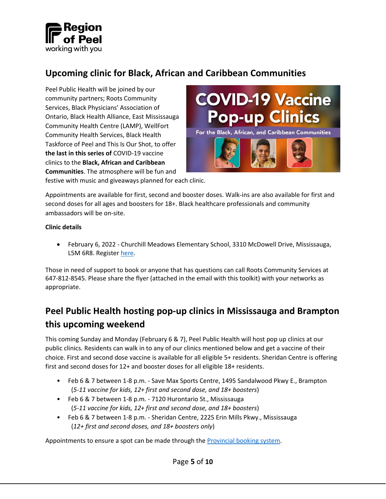

### <span id="page-6-0"></span>**Upcoming clinic for Black, African and Caribbean Communities**

Peel Public Health will be joined by our community partners; Roots Community Services, Black Physicians' Association of Ontario, Black Health Alliance, East Mississauga Community Health Centre (LAMP), WellFort Community Health Services, Black Health Taskforce of Peel and This Is Our Shot, to offer **the last in this series of** COVID-19 vaccine clinics to the **Black, African and Caribbean Communities**. The atmosphere will be fun and



festive with music and giveaways planned for each clinic.

Appointments are available for first, second and booster doses. Walk-ins are also available for first and second doses for all ages and boosters for 18+. Black healthcare professionals and community ambassadors will be on-site.

#### **Clinic details**

• February 6, 2022 - Churchill Meadows Elementary School, 3310 McDowell Drive, Mississauga, L5M 6R8. Register [here.](https://booking-peel.secure.force.com/WorkShopEventRegistration?eventId=a0h2B000000S7CWQA0)

Those in need of support to book or anyone that has questions can call Roots Community Services at 647-812-8545. Please share the flyer (attached in the email with this toolkit) with your networks as appropriate.

### <span id="page-6-1"></span>**Peel Public Health hosting pop-up clinics in Mississauga and Brampton this upcoming weekend**

This coming Sunday and Monday (February 6 & 7), Peel Public Health will host pop up clinics at our public clinics. Residents can walk in to any of our clinics mentioned below and get a vaccine of their choice. First and second dose vaccine is available for all eligible 5+ residents. Sheridan Centre is offering first and second doses for 12+ and booster doses for all eligible 18+ residents.

- Feb 6 & 7 between 1-8 p.m. Save Max Sports Centre, 1495 Sandalwood Pkwy E., Brampton (*5-11 vaccine for kids, 12+ first and second dose, and 18+ boosters*)
- Feb 6 & 7 between 1-8 p.m. 7120 Hurontario St., Mississauga (*5-11 vaccine for kids, 12+ first and second dose, and 18+ boosters*)
- Feb 6 & 7 between 1-8 p.m. Sheridan Centre, 2225 Erin Mills Pkwy., Mississauga (*12+ first and second doses, and 18+ boosters only*)

Appointments to ensure a spot can be made through th[e Provincial booking system.](https://covid-19.ontario.ca/book-vaccine/)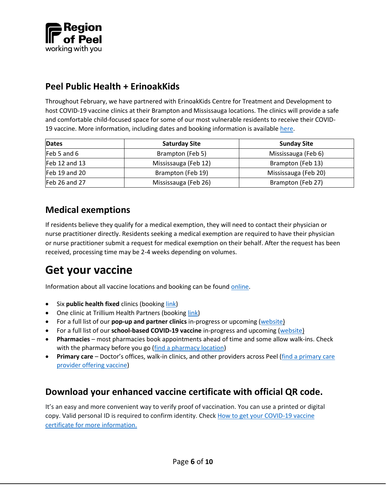

### <span id="page-7-0"></span>**Peel Public Health + ErinoakKids**

Throughout February, we have partnered with ErinoakKids Centre for Treatment and Development to host COVID-19 vaccine clinics at their Brampton and Mississauga locations. The clinics will provide a safe and comfortable child-focused space for some of our most vulnerable residents to receive their COVID-19 vaccine. More information, including dates and booking information is available [here.](https://www.erinoakkids.ca/about-us/news-and-announcements/covid19vaccinationclinics-aa78cb9e8ba587be02862cfcf3e0543b)

| <b>Dates</b>  | <b>Saturday Site</b> | <b>Sunday Site</b>   |
|---------------|----------------------|----------------------|
| $Feb5$ and 6  | Brampton (Feb 5)     | Mississauga (Feb 6)  |
| Feb 12 and 13 | Mississauga (Feb 12) | Brampton (Feb 13)    |
| Feb 19 and 20 | Brampton (Feb 19)    | Mississauga (Feb 20) |
| Feb 26 and 27 | Mississauga (Feb 26) | Brampton (Feb 27)    |

### <span id="page-7-1"></span>**Medical exemptions**

If residents believe they qualify for a medical exemption, they will need to contact their physician or nurse practitioner directly. Residents seeking a medical exemption are required to have their physician or nurse practitioner submit a request for medical exemption on their behalf. After the request has been received, processing time may be 2-4 weeks depending on volumes.

# <span id="page-7-2"></span>**Get your vaccine**

Information about all vaccine locations and booking can be foun[d online.](https://www.peelregion.ca/coronavirus/vaccine/book-appointment/)

- Six **public health fixed** clinics (booking [link\)](https://covid-19.ontario.ca/book-vaccine/)
- One clinic at Trillium Health Partners (booking [link\)](https://trilliumhealthpartners.ca/covid-19/a/vaccine.html#starthere)
- For a full list of our **pop-up and partner clinics** in-progress or upcoming [\(website\)](https://www.peelregion.ca/coronavirus/vaccine/book-appointment/#popup)
- For a full list of our **school-based COVID-19 vaccine** in-progress and upcoming [\(website\)](https://www.peelregion.ca/coronavirus/vaccine/book-appointment/#schools)
- **Pharmacies** most pharmacies book appointments ahead of time and some allow walk-ins. Check with the pharmacy before you go [\(find a pharmacy location\)](https://covid-19.ontario.ca/vaccine-locations)
- **Primary care** Doctor's offices, walk-in clinics, and other providers across Peel [\(find a primary care](https://peelregion.ca/coronavirus/vaccine/book-appointment/care-providers/)  [provider offering vaccine\)](https://peelregion.ca/coronavirus/vaccine/book-appointment/care-providers/)

### <span id="page-7-3"></span>**Download your enhanced vaccine certificate with official QR code.**

It's an easy and more convenient way to verify proof of vaccination. You can use a printed or digital copy. Valid personal ID is required to confirm identity. Check How to get your COVID-19 vaccine [certificate for more](https://covid-19.ontario.ca/get-proof/) information.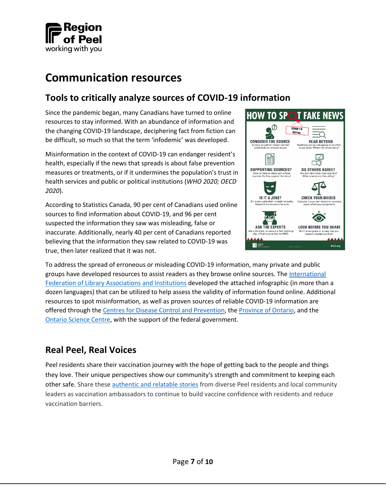

## <span id="page-8-0"></span>**Communication resources**

### <span id="page-8-1"></span>**Tools to critically analyze sources of COVID-19 information**

Since the pandemic began, many Canadians have turned to online resources to stay informed. With an abundance of information and the changing COVID-19 landscape, deciphering fact from fiction can be difficult, so much so that the term 'infodemic' was developed.

Misinformation in the context of COVID-19 can endanger resident's health, especially if the news that spreads is about false prevention measures or treatments, or if it undermines the population's trust in health services and public or political institutions (*WHO 2020; OECD 2020*).

According to Statistics Canada, 90 per cent of Canadians used online sources to find information about COVID-19, and 96 per cent suspected the information they saw was misleading, false or inaccurate. Additionally, nearly 40 per cent of Canadians reported believing that the information they saw related to COVID-19 was true, then later realized that it was not.



To address the spread of erroneous or misleading COVID-19 information, many private and public groups have developed resources to assist readers as they browse online sources. The [International](https://www.ifla.org/skills-for-a-digital-world/how-to-spot-fake-news-covid-19-edition/)  [Federation of Library Associations and Institutions](https://www.ifla.org/skills-for-a-digital-world/how-to-spot-fake-news-covid-19-edition/) developed the attached infographic (in more than a dozen languages) that can be utilized to help assess the validity of information found online. Additional resources to spot misinformation, as well as proven sources of reliable COVID-19 information are offered through the [Centres for Disease Control and Prevention,](https://www.cdc.gov/vaccines/covid-19/health-departments/addressing-vaccine-misinformation.html) the [Province of Ontario,](https://www.ontario.ca/page/covid-19-communication-resources) and the [Ontario Science Centre,](https://www.ontariosciencecentre.ca/what-s-on/digital-disinformation-plus-covid-19) with the support of the federal government.

### <span id="page-8-2"></span>**Real Peel, Real Voices**

Peel residents share their vaccination journey with the hope of getting back to the people and things they love. Their unique perspectives show our community's strength and commitment to keeping each other safe. Share these [authentic and relatable stories](https://www.youtube.com/playlist?list=PL14Mw5uTZe0MNCCNf_J2Ao1rxls8SH2NB) from diverse Peel residents and local community leaders as vaccination ambassadors to continue to build vaccine confidence with residents and reduce vaccination barriers.